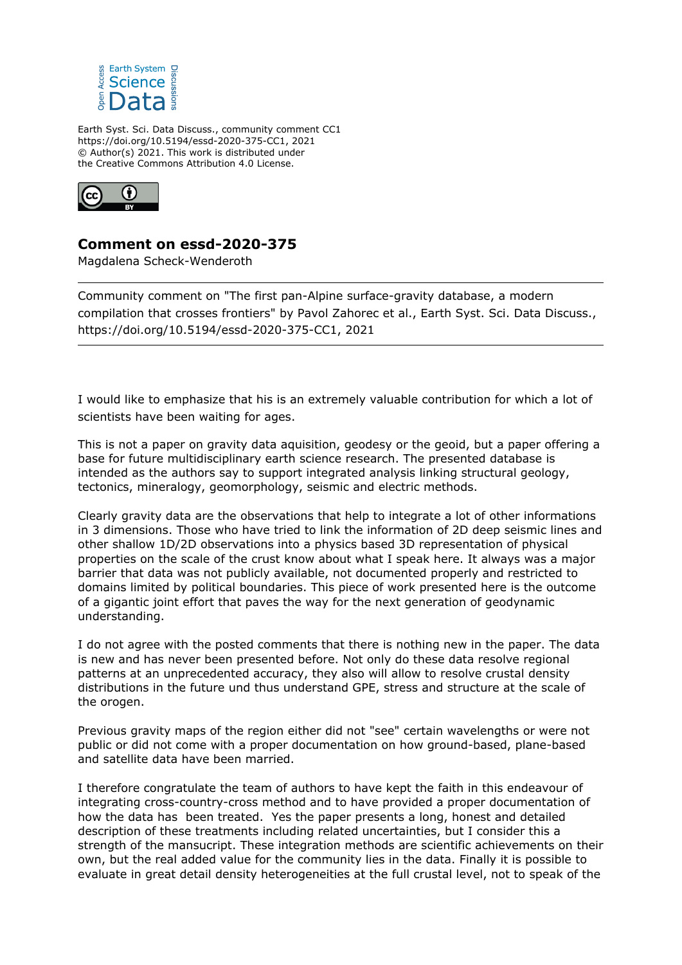

Earth Syst. Sci. Data Discuss., community comment CC1 https://doi.org/10.5194/essd-2020-375-CC1, 2021 © Author(s) 2021. This work is distributed under the Creative Commons Attribution 4.0 License.



## **Comment on essd-2020-375**

Magdalena Scheck-Wenderoth

Community comment on "The first pan-Alpine surface-gravity database, a modern compilation that crosses frontiers" by Pavol Zahorec et al., Earth Syst. Sci. Data Discuss., https://doi.org/10.5194/essd-2020-375-CC1, 2021

I would like to emphasize that his is an extremely valuable contribution for which a lot of scientists have been waiting for ages.

This is not a paper on gravity data aquisition, geodesy or the geoid, but a paper offering a base for future multidisciplinary earth science research. The presented database is intended as the authors say to support integrated analysis linking structural geology, tectonics, mineralogy, geomorphology, seismic and electric methods.

Clearly gravity data are the observations that help to integrate a lot of other informations in 3 dimensions. Those who have tried to link the information of 2D deep seismic lines and other shallow 1D/2D observations into a physics based 3D representation of physical properties on the scale of the crust know about what I speak here. It always was a major barrier that data was not publicly available, not documented properly and restricted to domains limited by political boundaries. This piece of work presented here is the outcome of a gigantic joint effort that paves the way for the next generation of geodynamic understanding.

I do not agree with the posted comments that there is nothing new in the paper. The data is new and has never been presented before. Not only do these data resolve regional patterns at an unprecedented accuracy, they also will allow to resolve crustal density distributions in the future und thus understand GPE, stress and structure at the scale of the orogen.

Previous gravity maps of the region either did not "see" certain wavelengths or were not public or did not come with a proper documentation on how ground-based, plane-based and satellite data have been married.

I therefore congratulate the team of authors to have kept the faith in this endeavour of integrating cross-country-cross method and to have provided a proper documentation of how the data has been treated. Yes the paper presents a long, honest and detailed description of these treatments including related uncertainties, but I consider this a strength of the mansucript. These integration methods are scientific achievements on their own, but the real added value for the community lies in the data. Finally it is possible to evaluate in great detail density heterogeneities at the full crustal level, not to speak of the